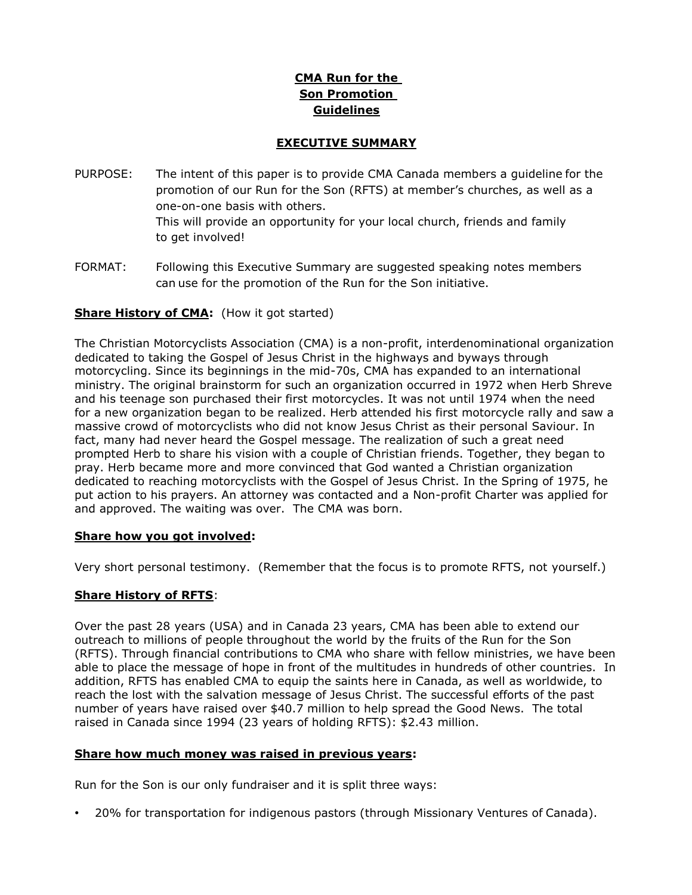# **CMA Run for the Son Promotion Guidelines**

## **EXECUTIVE SUMMARY**

- PURPOSE: The intent of this paper is to provide CMA Canada members a guideline for the promotion of our Run for the Son (RFTS) at member's churches, as well as a one-on-one basis with others. This will provide an opportunity for your local church, friends and family to get involved!
- FORMAT: Following this Executive Summary are suggested speaking notes members can use for the promotion of the Run for the Son initiative.

## **Share History of CMA:** (How it got started)

The Christian Motorcyclists Association (CMA) is a non-profit, interdenominational organization dedicated to taking the Gospel of Jesus Christ in the highways and byways through motorcycling. Since its beginnings in the mid-70s, CMA has expanded to an international ministry. The original brainstorm for such an organization occurred in 1972 when Herb Shreve and his teenage son purchased their first motorcycles. It was not until 1974 when the need for a new organization began to be realized. Herb attended his first motorcycle rally and saw a massive crowd of motorcyclists who did not know Jesus Christ as their personal Saviour. In fact, many had never heard the Gospel message. The realization of such a great need prompted Herb to share his vision with a couple of Christian friends. Together, they began to pray. Herb became more and more convinced that God wanted a Christian organization dedicated to reaching motorcyclists with the Gospel of Jesus Christ. In the Spring of 1975, he put action to his prayers. An attorney was contacted and a Non-profit Charter was applied for and approved. The waiting was over. The CMA was born.

#### **Share how you got involved:**

Very short personal testimony. (Remember that the focus is to promote RFTS, not yourself.)

#### **Share History of RFTS**:

Over the past 28 years (USA) and in Canada 23 years, CMA has been able to extend our outreach to millions of people throughout the world by the fruits of the Run for the Son (RFTS). Through financial contributions to CMA who share with fellow ministries, we have been able to place the message of hope in front of the multitudes in hundreds of other countries. In addition, RFTS has enabled CMA to equip the saints here in Canada, as well as worldwide, to reach the lost with the salvation message of Jesus Christ. The successful efforts of the past number of years have raised over \$40.7 million to help spread the Good News. The total raised in Canada since 1994 (23 years of holding RFTS): \$2.43 million.

#### **Share how much money was raised in previous years:**

Run for the Son is our only fundraiser and it is split three ways:

• 20% for transportation for indigenous pastors (through Missionary Ventures of Canada).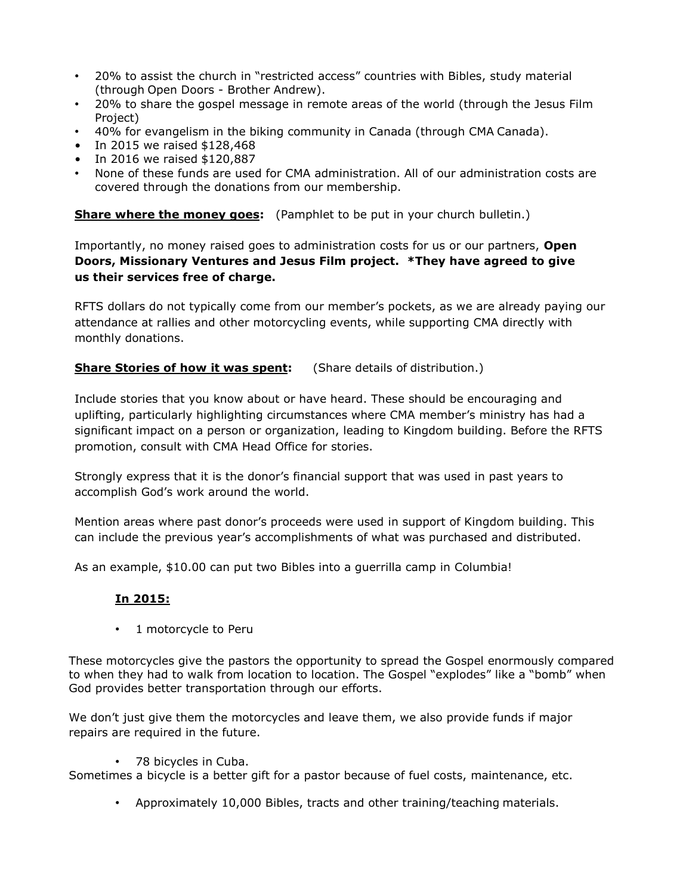- 20% to assist the church in "restricted access" countries with Bibles, study material (through Open Doors - Brother Andrew).
- 20% to share the gospel message in remote areas of the world (through the Jesus Film Project)
- 40% for evangelism in the biking community in Canada (through CMA Canada).
- In 2015 we raised \$128,468
- In 2016 we raised \$120,887
- None of these funds are used for CMA administration. All of our administration costs are covered through the donations from our membership.

**Share where the money goes:** (Pamphlet to be put in your church bulletin.)

Importantly, no money raised goes to administration costs for us or our partners, **Open Doors, Missionary Ventures and Jesus Film project. \*They have agreed to give us their services free of charge.**

RFTS dollars do not typically come from our member's pockets, as we are already paying our attendance at rallies and other motorcycling events, while supporting CMA directly with monthly donations.

**Share Stories of how it was spent:** (Share details of distribution.)

Include stories that you know about or have heard. These should be encouraging and uplifting, particularly highlighting circumstances where CMA member's ministry has had a significant impact on a person or organization, leading to Kingdom building. Before the RFTS promotion, consult with CMA Head Office for stories.

Strongly express that it is the donor's financial support that was used in past years to accomplish God's work around the world.

Mention areas where past donor's proceeds were used in support of Kingdom building. This can include the previous year's accomplishments of what was purchased and distributed.

As an example, \$10.00 can put two Bibles into a guerrilla camp in Columbia!

## **In 2015:**

• 1 motorcycle to Peru

These motorcycles give the pastors the opportunity to spread the Gospel enormously compared to when they had to walk from location to location. The Gospel "explodes" like a "bomb" when God provides better transportation through our efforts.

We don't just give them the motorcycles and leave them, we also provide funds if major repairs are required in the future.

• 78 bicycles in Cuba.

Sometimes a bicycle is a better gift for a pastor because of fuel costs, maintenance, etc.

• Approximately 10,000 Bibles, tracts and other training/teaching materials.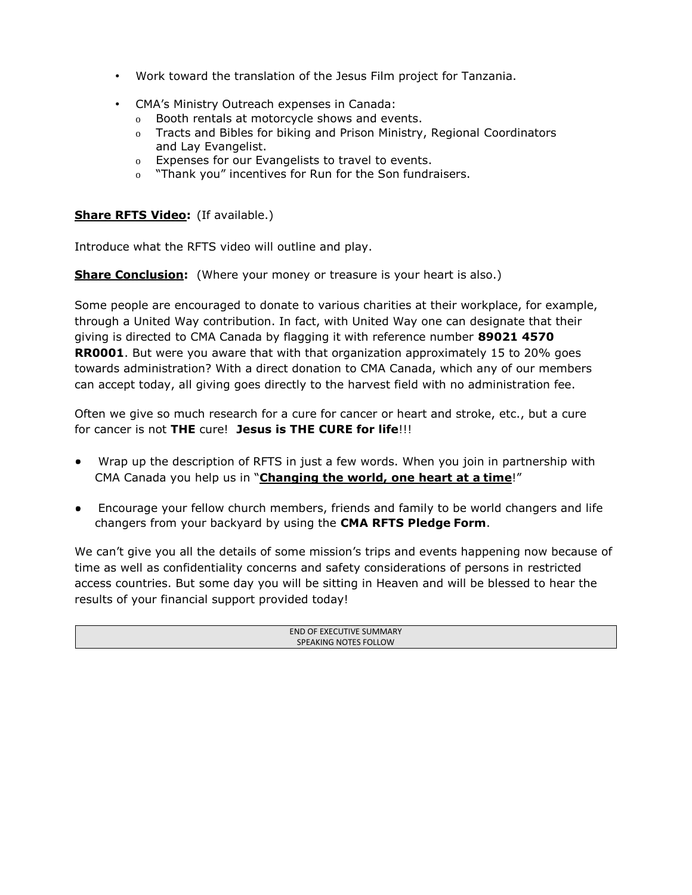- Work toward the translation of the Jesus Film project for Tanzania.
- CMA's Ministry Outreach expenses in Canada:
	- o Booth rentals at motorcycle shows and events.
	- o Tracts and Bibles for biking and Prison Ministry, Regional Coordinators and Lay Evangelist.
	- o Expenses for our Evangelists to travel to events.
	- o "Thank you" incentives for Run for the Son fundraisers.

### **Share RFTS Video:** (If available.)

Introduce what the RFTS video will outline and play.

**Share Conclusion:** (Where your money or treasure is your heart is also.)

Some people are encouraged to donate to various charities at their workplace, for example, through a United Way contribution. In fact, with United Way one can designate that their giving is directed to CMA Canada by flagging it with reference number **89021 4570 RR0001**. But were you aware that with that organization approximately 15 to 20% goes towards administration? With a direct donation to CMA Canada, which any of our members can accept today, all giving goes directly to the harvest field with no administration fee.

Often we give so much research for a cure for cancer or heart and stroke, etc., but a cure for cancer is not **THE** cure! **Jesus is THE CURE for life**!!!

- Wrap up the description of RFTS in just a few words. When you join in partnership with CMA Canada you help us in "**Changing the world, one heart at a time**!"
- Encourage your fellow church members, friends and family to be world changers and life changers from your backyard by using the **CMA RFTS Pledge Form**.

We can't give you all the details of some mission's trips and events happening now because of time as well as confidentiality concerns and safety considerations of persons in restricted access countries. But some day you will be sitting in Heaven and will be blessed to hear the results of your financial support provided today!

| END OF EXECUTIVE SUMMARY |  |
|--------------------------|--|
| SPEAKING NOTES FOLLOW    |  |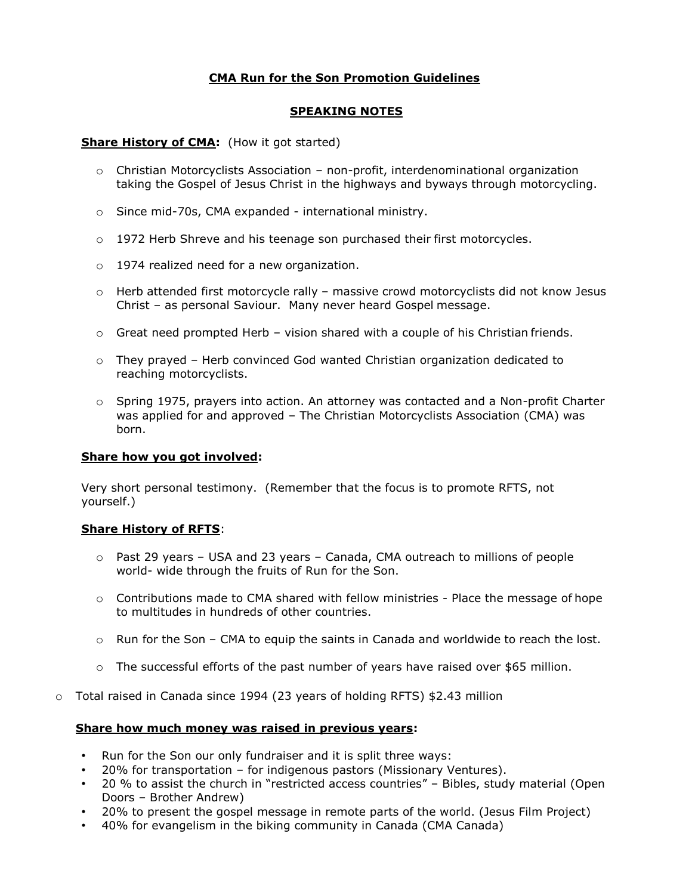# **CMA Run for the Son Promotion Guidelines**

## **SPEAKING NOTES**

#### **Share History of CMA:** (How it got started)

- $\circ$  Christian Motorcyclists Association non-profit, interdenominational organization taking the Gospel of Jesus Christ in the highways and byways through motorcycling.
- o Since mid-70s, CMA expanded international ministry.
- $\circ$  1972 Herb Shreve and his teenage son purchased their first motorcycles.
- o 1974 realized need for a new organization.
- $\circ$  Herb attended first motorcycle rally massive crowd motorcyclists did not know Jesus Christ – as personal Saviour. Many never heard Gospel message.
- $\circ$  Great need prompted Herb vision shared with a couple of his Christian friends.
- $\circ$  They prayed Herb convinced God wanted Christian organization dedicated to reaching motorcyclists.
- o Spring 1975, prayers into action. An attorney was contacted and a Non-profit Charter was applied for and approved – The Christian Motorcyclists Association (CMA) was born.

#### **Share how you got involved:**

Very short personal testimony. (Remember that the focus is to promote RFTS, not yourself.)

#### **Share History of RFTS**:

- $\circ$  Past 29 years USA and 23 years Canada, CMA outreach to millions of people world- wide through the fruits of Run for the Son.
- $\circ$  Contributions made to CMA shared with fellow ministries Place the message of hope to multitudes in hundreds of other countries.
- o Run for the Son CMA to equip the saints in Canada and worldwide to reach the lost.
- o The successful efforts of the past number of years have raised over \$65 million.
- o Total raised in Canada since 1994 (23 years of holding RFTS) \$2.43 million

#### **Share how much money was raised in previous years:**

- Run for the Son our only fundraiser and it is split three ways:
- 20% for transportation for indigenous pastors (Missionary Ventures).
- 20 % to assist the church in "restricted access countries" Bibles, study material (Open Doors – Brother Andrew)
- 20% to present the gospel message in remote parts of the world. (Jesus Film Project)
- 40% for evangelism in the biking community in Canada (CMA Canada)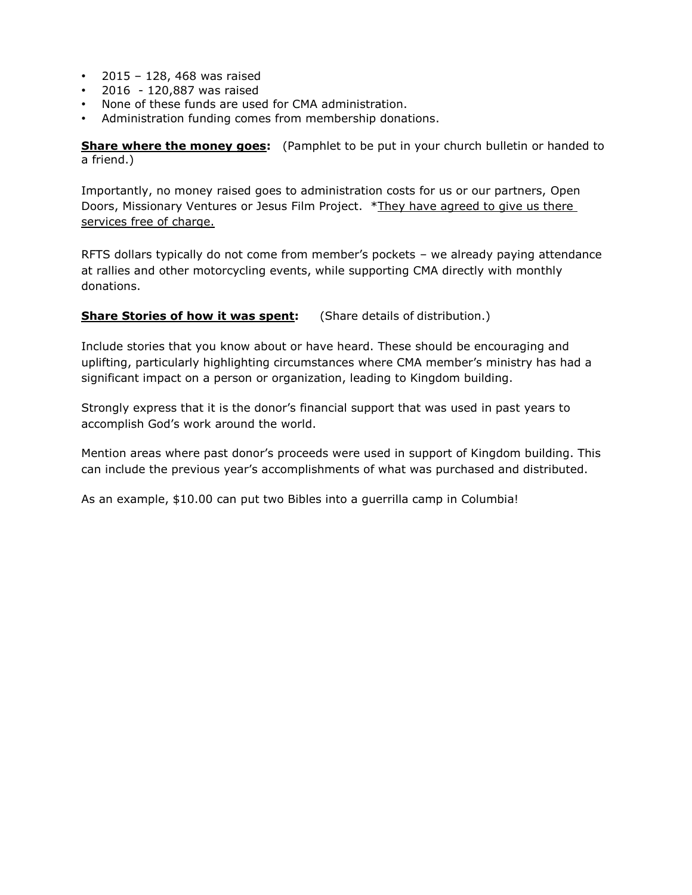- 2015 128, 468 was raised
- 2016 120,887 was raised
- None of these funds are used for CMA administration.
- Administration funding comes from membership donations.

**Share where the money goes:** (Pamphlet to be put in your church bulletin or handed to a friend.)

Importantly, no money raised goes to administration costs for us or our partners, Open Doors, Missionary Ventures or Jesus Film Project. \*They have agreed to give us there services free of charge.

RFTS dollars typically do not come from member's pockets – we already paying attendance at rallies and other motorcycling events, while supporting CMA directly with monthly donations.

### **Share Stories of how it was spent:** (Share details of distribution.)

Include stories that you know about or have heard. These should be encouraging and uplifting, particularly highlighting circumstances where CMA member's ministry has had a significant impact on a person or organization, leading to Kingdom building.

Strongly express that it is the donor's financial support that was used in past years to accomplish God's work around the world.

Mention areas where past donor's proceeds were used in support of Kingdom building. This can include the previous year's accomplishments of what was purchased and distributed.

As an example, \$10.00 can put two Bibles into a guerrilla camp in Columbia!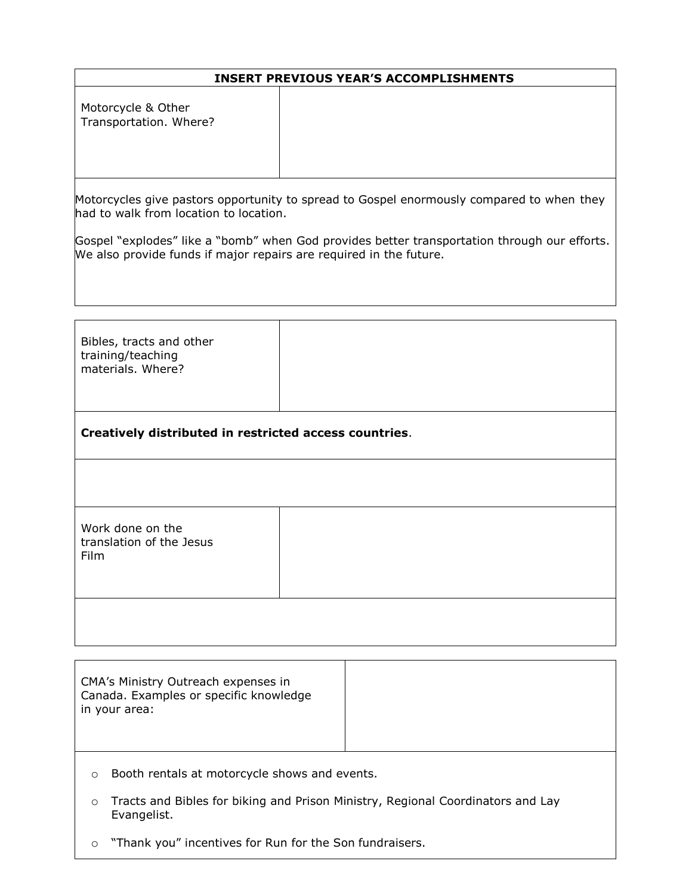### **INSERT PREVIOUS YEAR'S ACCOMPLISHMENTS**

Motorcycle & Other Transportation. Where?

Motorcycles give pastors opportunity to spread to Gospel enormously compared to when they had to walk from location to location.

Gospel "explodes" like a "bomb" when God provides better transportation through our efforts. We also provide funds if major repairs are required in the future.

| Bibles, tracts and other<br>training/teaching<br>materials. Where? |  |  |
|--------------------------------------------------------------------|--|--|
| Creatively distributed in restricted access countries.             |  |  |
|                                                                    |  |  |
| Work done on the<br>translation of the Jesus<br>Film               |  |  |
|                                                                    |  |  |

CMA's Ministry Outreach expenses in Canada. Examples or specific knowledge in your area:

- o Booth rentals at motorcycle shows and events.
- o Tracts and Bibles for biking and Prison Ministry, Regional Coordinators and Lay Evangelist.
- o "Thank you" incentives for Run for the Son fundraisers.